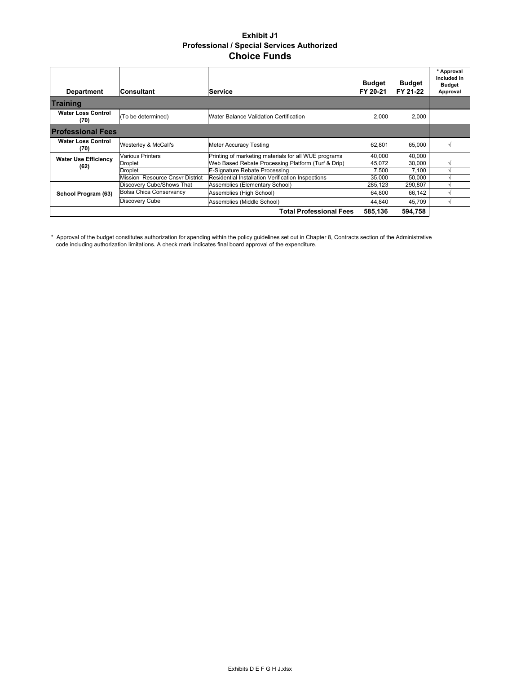## **Exhibit J1 Professional / Special Services Authorized Choice Funds**

| <b>Department</b>                 | lConsultant                     | lService                                                 | <b>Budget</b><br>FY 20-21 | <b>Budget</b><br>FY 21-22 | * Approval<br>included in<br><b>Budget</b><br>Approval |
|-----------------------------------|---------------------------------|----------------------------------------------------------|---------------------------|---------------------------|--------------------------------------------------------|
| <b>Training</b>                   |                                 |                                                          |                           |                           |                                                        |
| <b>Water Loss Control</b><br>(70) | (To be determined)              | Water Balance Validation Certification                   | 2,000                     | 2,000                     |                                                        |
| <b>Professional Fees</b>          |                                 |                                                          |                           |                           |                                                        |
| <b>Water Loss Control</b><br>(70) | Westerley & McCall's            | <b>Meter Accuracy Testing</b>                            | 62,801                    | 65,000                    |                                                        |
| <b>Water Use Efficiency</b>       | <b>Various Printers</b>         | Printing of marketing materials for all WUE programs     | 40,000                    | 40,000                    |                                                        |
|                                   | Droplet                         | Web Based Rebate Processing Platform (Turf & Drip)       | 45,072                    | 30,000                    |                                                        |
| (62)                              | Droplet                         | E-Signature Rebate Processing                            | 7,500                     | 7.100                     |                                                        |
|                                   | Mission Resource Cnsyr District | <b>Residential Installation Verification Inspections</b> | 35,000                    | 50.000                    |                                                        |
|                                   | Discovery Cube/Shows That       | Assemblies (Elementary School)                           | 285,123                   | 290,807                   |                                                        |
| School Program (63)               | <b>Bolsa Chica Conservancy</b>  | Assemblies (High School)                                 | 64,800                    | 66,142                    |                                                        |
|                                   | <b>Discovery Cube</b>           | Assemblies (Middle School)                               | 44,840                    | 45,709                    |                                                        |
|                                   |                                 | <b>Total Professional Fees</b>                           | 585,136                   | 594,758                   |                                                        |

\* Approval of the budget constitutes authorization for spending within the policy guidelines set out in Chapter 8, Contracts section of the Administrative code including authorization limitations. A check mark indicates final board approval of the expenditure.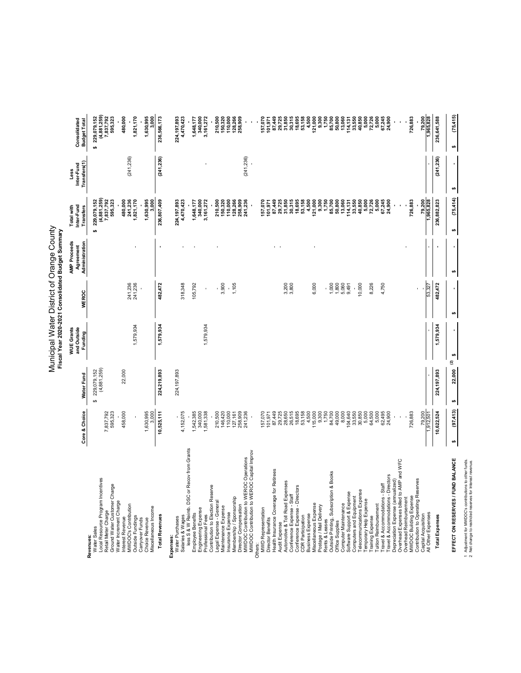|                                                                                                                                                                                                                                                      | Core & Choice                                                                               | Water Fund                       | WUE Grants<br>and Outside<br>Funding | <b>WEROC</b>                  | Administration<br><b>AMP Proceeds</b><br>Agreement | Inter-Fund<br>Total with<br>Transfers                                                                                                                                                                                                                             | Transfers(1)<br>Inter-Fund<br>Less | Consolidated<br><b>Budget Total</b>                                |
|------------------------------------------------------------------------------------------------------------------------------------------------------------------------------------------------------------------------------------------------------|---------------------------------------------------------------------------------------------|----------------------------------|--------------------------------------|-------------------------------|----------------------------------------------------|-------------------------------------------------------------------------------------------------------------------------------------------------------------------------------------------------------------------------------------------------------------------|------------------------------------|--------------------------------------------------------------------|
| Local Resource Program Incentives<br>Ground Water Customer Charge<br>Retail Meter Charge<br>Water Sales<br>Revenues                                                                                                                                  | 7,837,792<br>595,323                                                                        | 229,079,152<br>(4,881,259)<br>မာ |                                      |                               |                                                    | $(4, 881, 259)$<br>7, 837, 792<br>595, 323<br>229,079,152<br><b>SA</b>                                                                                                                                                                                            |                                    | $$229,079,152$<br>(4,881,259)<br>7,837,792<br>595,323              |
| Water Increment Charge<br>MWDOC's Contribution<br>Outside Fundings<br>Interest Revenue                                                                                                                                                               | 458,000                                                                                     | 22,000                           | 1,579,934                            | 241,236<br>241,236            |                                                    | 241,236<br>480,000<br>1,821,170                                                                                                                                                                                                                                   | (241, 236)                         | 480,000<br>1,821,170                                               |
| Miscellaneous Income<br>Carryover Funds<br>Choice Revenue                                                                                                                                                                                            | 1,630,995<br>3,000                                                                          |                                  |                                      |                               |                                                    | 1,630,995<br>3,000                                                                                                                                                                                                                                                |                                    | 1,630,995<br>3,000                                                 |
| <b>Total Revenues</b>                                                                                                                                                                                                                                | 10,525,111                                                                                  | 224,219,893                      | 1,579,934                            | 482,472                       |                                                    | 236,807,409                                                                                                                                                                                                                                                       | (241, 236)                         | 236,566,173                                                        |
| less S & W Reimb. DSC or Recov from Grants<br>Salaries & Wages<br>Water Purchases<br>Expenses:                                                                                                                                                       | 4, 152, 075                                                                                 | 224,197,893                      |                                      | 318,348                       |                                                    | 4,470,423<br>224, 197, 893                                                                                                                                                                                                                                        |                                    | 224, 197, 893<br>4, 470, 423                                       |
| Engineering Expense<br>Employee Benefits<br>Professional Fees                                                                                                                                                                                        | 1,542,385<br>340,000<br>1,581,338                                                           |                                  | 1,579,934                            | 105,792<br>ı.                 |                                                    | 340,000<br>3,161,272<br>1,648,177                                                                                                                                                                                                                                 |                                    | 3,161,272<br>340,000<br>1,648,177                                  |
| MWDOC Contribution to WEROC Operations<br>MWDOC Contribution to WEROC Capital Improv<br>Contribution to Election Reserve<br>Membership / Sponsorship<br>Legal Expense - General<br>Director Compensation<br>Maintenance Expense<br>Insurance Expense | 110,000<br>127,161<br>258,909<br>241,236<br>210,500<br>146,420                              |                                  |                                      | 3,900<br>1,105                |                                                    | 210,500<br>128,266<br>258,909<br>241,236<br>150,320<br>110,000                                                                                                                                                                                                    | (241, 236)                         | 210,500<br>150,320<br>110,000<br>128,266<br>258,909                |
|                                                                                                                                                                                                                                                      |                                                                                             |                                  |                                      |                               |                                                    |                                                                                                                                                                                                                                                                   |                                    |                                                                    |
| <b>MWD Representation</b><br>Director Benefits<br>Others:                                                                                                                                                                                            | 157,070<br>07,449<br>07,448,655<br>07,088,888<br>08,088,895                                 |                                  |                                      |                               |                                                    | 157,070                                                                                                                                                                                                                                                           |                                    | 157,070<br>101,971                                                 |
| Health Insurance Coverage for Retirees<br>Audit Expense                                                                                                                                                                                              |                                                                                             |                                  |                                      |                               | $\overline{\phantom{a}}$                           |                                                                                                                                                                                                                                                                   |                                    | 87,449                                                             |
| Automotive & Toll Road Expenses<br>Conference Expense - Staff                                                                                                                                                                                        |                                                                                             |                                  |                                      | 3,200<br>3,800                |                                                    |                                                                                                                                                                                                                                                                   |                                    |                                                                    |
| Conference Expense - Directors<br><b>CDR Participation</b>                                                                                                                                                                                           | 53,158                                                                                      |                                  |                                      |                               |                                                    | ត្រី<br>ភូមិ ដូច ដូច ដូច<br>ក្នុង ដូច ដូច ដូច<br>ក្នុង ដូច ដូច ដូច                                                                                                                                                                                                |                                    | 29,725<br>29,375<br>29,895<br>29,585                               |
| Miscellaneous Expense<br><b>Business Expense</b>                                                                                                                                                                                                     | 4,500                                                                                       |                                  |                                      | 6,000                         |                                                    |                                                                                                                                                                                                                                                                   |                                    | 4,500                                                              |
| Postage / Mail Delivery                                                                                                                                                                                                                              | $\begin{array}{l} 115,000 \\ 9,300 \\ -1,700 \\ -1,700 \\ 0,000 \\ -1,000 \\ 0 \end{array}$ |                                  |                                      |                               |                                                    | $\begin{array}{l} 1.00000\\ 1.00000\\ 1.00000\\ 1.00000\\ 1.00000\\ 1.0000\\ 1.0000\\ 1.0000\\ 1.0000\\ 1.0000\\ 1.0000\\ 1.0000\\ 1.0000\\ 1.0000\\ 1.0000\\ 1.0000\\ 1.0000\\ 1.0000\\ 1.0000\\ 1.0000\\ 1.0000\\ 1.0000\\ 1.0000\\ 1.0000\\ 1.0000\\ 1.0000\\$ |                                    | ិត្ត<br>ប្រទេស ខេត្ត<br>ប្រទេស ខេត្ត ដូច្នេះ<br>ប្រទេស មាន ដូច្នេះ |
| Rents & Leases<br>Outside Printing, Subscription & Books                                                                                                                                                                                             |                                                                                             |                                  |                                      |                               |                                                    |                                                                                                                                                                                                                                                                   |                                    |                                                                    |
| Computer Maintenance<br>Office Supplies                                                                                                                                                                                                              |                                                                                             |                                  |                                      | $1,800$<br>$1,800$<br>$5,060$ |                                                    |                                                                                                                                                                                                                                                                   |                                    |                                                                    |
| Software Support & Expense<br>Computers and Equipment                                                                                                                                                                                                | 104,640                                                                                     |                                  |                                      | 9,491                         |                                                    | $114, 131$<br>$33,550$<br>$40,850$                                                                                                                                                                                                                                |                                    |                                                                    |
| Telecommunications Expense                                                                                                                                                                                                                           | 33,550<br>30,850                                                                            |                                  |                                      | 10,000                        |                                                    |                                                                                                                                                                                                                                                                   |                                    |                                                                    |
| Temporary Help Expense<br>Training Expense                                                                                                                                                                                                           | 5,000<br>64,500                                                                             |                                  |                                      | 8,226                         |                                                    | 5,000<br>72,726                                                                                                                                                                                                                                                   |                                    | 72,726<br>5,000<br>5,000                                           |
| <b>Tuition Reimbursement</b>                                                                                                                                                                                                                         | 5,000                                                                                       |                                  |                                      |                               |                                                    |                                                                                                                                                                                                                                                                   |                                    |                                                                    |
| Directors<br>Travel & Accommodations - Staff<br>Travel & Accommodations-                                                                                                                                                                             | 62,495<br>24,900                                                                            |                                  |                                      | 4,750                         |                                                    | 5,000<br>67,245<br>24,900                                                                                                                                                                                                                                         |                                    | 67,245<br>24,900                                                   |
| Overhead Expenses billed to AMP and WFC<br>Depreciation Expense (annualized)                                                                                                                                                                         |                                                                                             |                                  |                                      |                               |                                                    |                                                                                                                                                                                                                                                                   |                                    |                                                                    |
| MWDOC Building Expense<br>Overhead Reimbursement                                                                                                                                                                                                     | 726,883                                                                                     |                                  |                                      |                               |                                                    | 726,883                                                                                                                                                                                                                                                           |                                    | 726,883                                                            |
| Contribution to Operating Reserves                                                                                                                                                                                                                   |                                                                                             |                                  |                                      |                               |                                                    |                                                                                                                                                                                                                                                                   |                                    |                                                                    |
| All Other Expenses<br>Capital Acquisition                                                                                                                                                                                                            | 79,200<br>1,912,501                                                                         | $\blacksquare$                   | $\mathbf{I}$                         | 53,327                        |                                                    | 79,200<br>1,965,828                                                                                                                                                                                                                                               | $\blacksquare$                     | 1,965,828<br>79,200                                                |
| <b>Total Expenses</b>                                                                                                                                                                                                                                | 10,622,524                                                                                  | 224,197,893                      | 1,579,934                            | 482,472                       | $\blacksquare$                                     | 236,882,823                                                                                                                                                                                                                                                       | (241, 236)                         | 236,641,588                                                        |
| EFFECT ON RESERVES / FUND BALANCE                                                                                                                                                                                                                    | (97, 413)<br>s                                                                              | ତ୍ର<br>22,000<br>ø               | s,                                   | s,                            | s,                                                 | (75,414)<br>ø                                                                                                                                                                                                                                                     | ø                                  | (75, 415)<br>ø                                                     |
| 1 Adjustment for MWDOC's contributions to other funds.<br>2 Net change to restricted reserves for Interest revenue.                                                                                                                                  |                                                                                             |                                  |                                      |                               |                                                    |                                                                                                                                                                                                                                                                   |                                    |                                                                    |